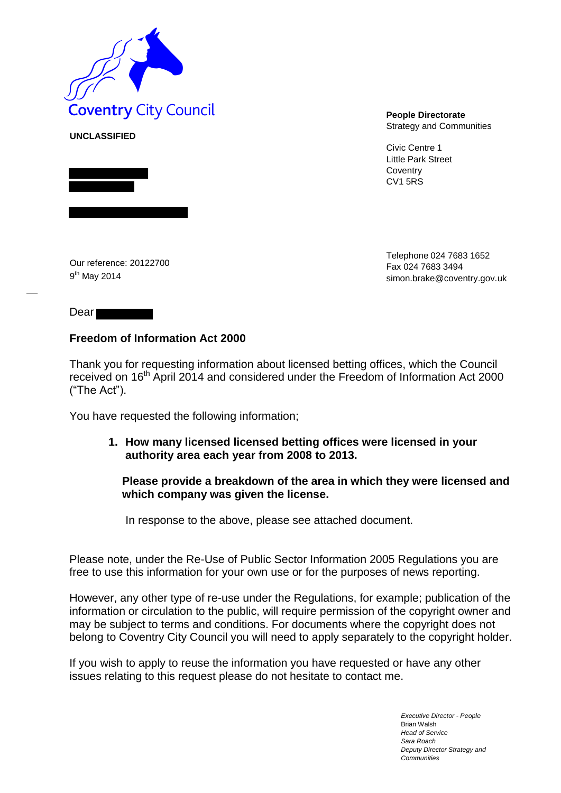

Strategy and Communities

Civic Centre 1 Little Park Street **Coventry** CV1 5RS

Our reference: 20122700 9<sup>th</sup> May 2014

Telephone 024 7683 1652 Fax 024 7683 349[4](mailto:simon.brake@coventry.gov.uk) [simon.brake@coventry.gov.uk](mailto:simon.brake@coventry.gov.uk)

## Dear

**UNCLASSIFIED**

# **Freedom of Information Act 2000**

Thank you for requesting information about licensed betting offices, which the Council received on 16<sup>th</sup> April 2014 and considered under the Freedom of Information Act 2000 ("The Act").

You have requested the following information;

**1. How many licensed licensed betting offices were licensed in your authority area each year from 2008 to 2013.** 

## **Please provide a breakdown of the area in which they were licensed and which company was given the license.**

In response to the above, please see attached document.

Please note, under the Re-Use of Public Sector Information 2005 Regulations you are free to use this information for your own use or for the purposes of news reporting.

However, any other type of re-use under the Regulations, for example; publication of the information or circulation to the public, will require permission of the copyright owner and may be subject to terms and conditions. For documents where the copyright does not belong to Coventry City Council you will need to apply separately to the copyright holder.

If you wish to apply to reuse the information you have requested or have any other issues relating to this request please do not hesitate to contact me.

> *Executive Director - People* Brian Walsh *Head of Service Sara Roach Deputy Director Strategy and Communities*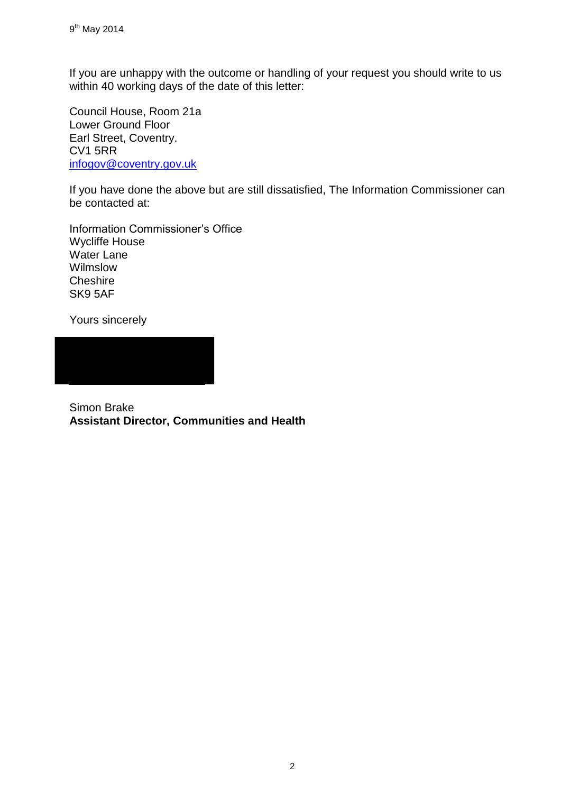If you are unhappy with the outcome or handling of your request you should write to us within 40 working days of the date of this letter:

Council House, Room 21a Lower Ground Floor Earl Street, Coventry. CV1 5RR [infogov@coventry.gov.uk](mailto:infogov@coventry.gov.uk)

If you have done the above but are still dissatisfied, The Information Commissioner can be contacted at:

Information Commissioner's Office Wycliffe House Water Lane Wilmslow **Cheshire** SK9 5AF

Yours sincerely

Simon Brake **Assistant Director, Communities and Health**